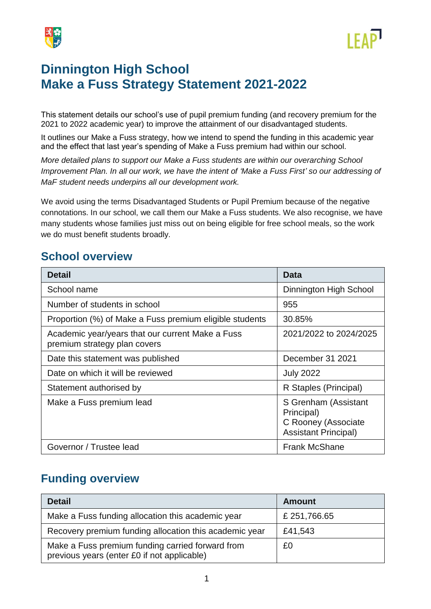



# **Dinnington High School Make a Fuss Strategy Statement 2021-2022**

This statement details our school's use of pupil premium funding (and recovery premium for the 2021 to 2022 academic year) to improve the attainment of our disadvantaged students.

It outlines our Make a Fuss strategy, how we intend to spend the funding in this academic year and the effect that last year's spending of Make a Fuss premium had within our school.

*More detailed plans to support our Make a Fuss students are within our overarching School Improvement Plan. In all our work, we have the intent of 'Make a Fuss First' so our addressing of MaF student needs underpins all our development work.*

We avoid using the terms Disadvantaged Students or Pupil Premium because of the negative connotations. In our school, we call them our Make a Fuss students. We also recognise, we have many students whose families just miss out on being eligible for free school meals, so the work we do must benefit students broadly.

### **School overview**

| <b>Detail</b>                                                                    | Data                                                                                     |
|----------------------------------------------------------------------------------|------------------------------------------------------------------------------------------|
| School name                                                                      | Dinnington High School                                                                   |
| Number of students in school                                                     | 955                                                                                      |
| Proportion (%) of Make a Fuss premium eligible students                          | 30.85%                                                                                   |
| Academic year/years that our current Make a Fuss<br>premium strategy plan covers | 2021/2022 to 2024/2025                                                                   |
| Date this statement was published                                                | December 31 2021                                                                         |
| Date on which it will be reviewed                                                | <b>July 2022</b>                                                                         |
| Statement authorised by                                                          | R Staples (Principal)                                                                    |
| Make a Fuss premium lead                                                         | S Grenham (Assistant<br>Principal)<br>C Rooney (Associate<br><b>Assistant Principal)</b> |
| Governor / Trustee lead                                                          | <b>Frank McShane</b>                                                                     |

## **Funding overview**

| <b>Detail</b>                                                                                   | Amount      |
|-------------------------------------------------------------------------------------------------|-------------|
| Make a Fuss funding allocation this academic year                                               | £251,766.65 |
| Recovery premium funding allocation this academic year                                          | £41,543     |
| Make a Fuss premium funding carried forward from<br>previous years (enter £0 if not applicable) | £0          |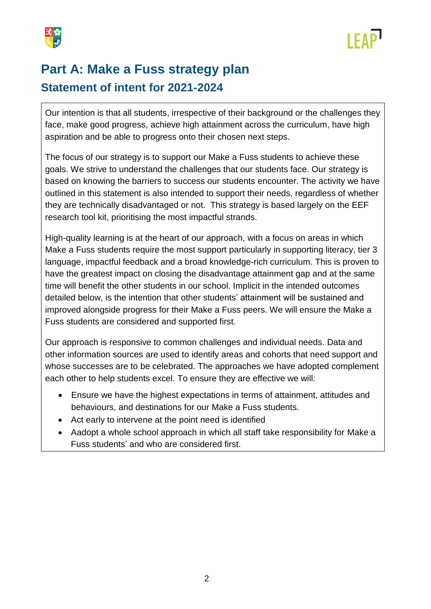



# **Part A: Make a Fuss strategy plan Statement of intent for 2021-2024**

Our intention is that all students, irrespective of their background or the challenges they face, make good progress, achieve high attainment across the curriculum, have high aspiration and be able to progress onto their chosen next steps.

The focus of our strategy is to support our Make a Fuss students to achieve these goals. We strive to understand the challenges that our students face. Our strategy is based on knowing the barriers to success our students encounter. The activity we have outlined in this statement is also intended to support their needs, regardless of whether they are technically disadvantaged or not. This strategy is based largely on the EEF research tool kit, prioritising the most impactful strands.

High-quality learning is at the heart of our approach, with a focus on areas in which Make a Fuss students require the most support particularly in supporting literacy, tier 3 language, impactful feedback and a broad knowledge-rich curriculum. This is proven to have the greatest impact on closing the disadvantage attainment gap and at the same time will benefit the other students in our school. Implicit in the intended outcomes detailed below, is the intention that other students' attainment will be sustained and improved alongside progress for their Make a Fuss peers. We will ensure the Make a Fuss students are considered and supported first.

Our approach is responsive to common challenges and individual needs. Data and other information sources are used to identify areas and cohorts that need support and whose successes are to be celebrated. The approaches we have adopted complement each other to help students excel. To ensure they are effective we will:

- Ensure we have the highest expectations in terms of attainment, attitudes and behaviours, and destinations for our Make a Fuss students.
- Act early to intervene at the point need is identified
- Aadopt a whole school approach in which all staff take responsibility for Make a Fuss students' and who are considered first.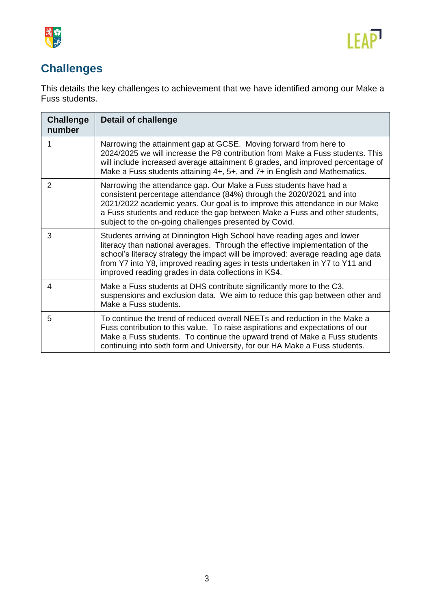



## **Challenges**

This details the key challenges to achievement that we have identified among our Make a Fuss students.

| <b>Challenge</b><br>number | <b>Detail of challenge</b>                                                                                                                                                                                                                                                                                                                                                        |
|----------------------------|-----------------------------------------------------------------------------------------------------------------------------------------------------------------------------------------------------------------------------------------------------------------------------------------------------------------------------------------------------------------------------------|
|                            | Narrowing the attainment gap at GCSE. Moving forward from here to<br>2024/2025 we will increase the P8 contribution from Make a Fuss students. This<br>will include increased average attainment 8 grades, and improved percentage of<br>Make a Fuss students attaining 4+, 5+, and 7+ in English and Mathematics.                                                                |
| 2                          | Narrowing the attendance gap. Our Make a Fuss students have had a<br>consistent percentage attendance (84%) through the 2020/2021 and into<br>2021/2022 academic years. Our goal is to improve this attendance in our Make<br>a Fuss students and reduce the gap between Make a Fuss and other students,<br>subject to the on-going challenges presented by Covid.                |
| 3                          | Students arriving at Dinnington High School have reading ages and lower<br>literacy than national averages. Through the effective implementation of the<br>school's literacy strategy the impact will be improved: average reading age data<br>from Y7 into Y8, improved reading ages in tests undertaken in Y7 to Y11 and<br>improved reading grades in data collections in KS4. |
| 4                          | Make a Fuss students at DHS contribute significantly more to the C3,<br>suspensions and exclusion data. We aim to reduce this gap between other and<br>Make a Fuss students.                                                                                                                                                                                                      |
| 5                          | To continue the trend of reduced overall NEETs and reduction in the Make a<br>Fuss contribution to this value. To raise aspirations and expectations of our<br>Make a Fuss students. To continue the upward trend of Make a Fuss students<br>continuing into sixth form and University, for our HA Make a Fuss students.                                                          |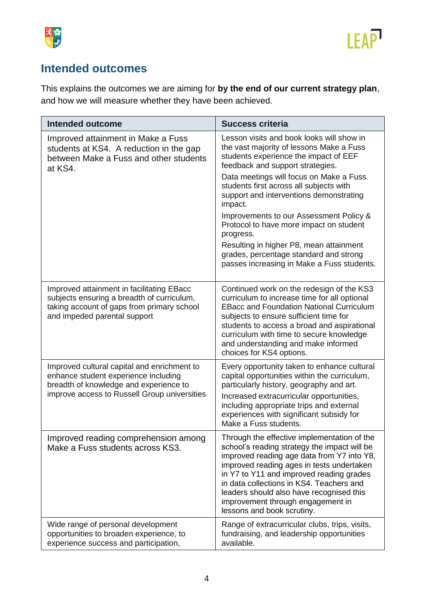



## **Intended outcomes**

This explains the outcomes we are aiming for **by the end of our current strategy plan**, and how we will measure whether they have been achieved.

| <b>Intended outcome</b>                                                                                                                                                       | <b>Success criteria</b>                                                                                                                                                                                                                                                                                                                                                                                                                                                                                |
|-------------------------------------------------------------------------------------------------------------------------------------------------------------------------------|--------------------------------------------------------------------------------------------------------------------------------------------------------------------------------------------------------------------------------------------------------------------------------------------------------------------------------------------------------------------------------------------------------------------------------------------------------------------------------------------------------|
| Improved attainment in Make a Fuss<br>students at KS4. A reduction in the gap<br>between Make a Fuss and other students<br>at KS4.                                            | Lesson visits and book looks will show in<br>the vast majority of lessons Make a Fuss<br>students experience the impact of EEF<br>feedback and support strategies.<br>Data meetings will focus on Make a Fuss<br>students first across all subjects with<br>support and interventions demonstrating<br>impact.<br>Improvements to our Assessment Policy &<br>Protocol to have more impact on student<br>progress.<br>Resulting in higher P8, mean attainment<br>grades, percentage standard and strong |
|                                                                                                                                                                               | passes increasing in Make a Fuss students.                                                                                                                                                                                                                                                                                                                                                                                                                                                             |
| Improved attainment in facilitating EBacc<br>subjects ensuring a breadth of curriculum,<br>taking account of gaps from primary school<br>and impeded parental support         | Continued work on the redesign of the KS3<br>curriculum to increase time for all optional<br><b>EBacc and Foundation National Curriculum</b><br>subjects to ensure sufficient time for<br>students to access a broad and aspirational<br>curriculum with time to secure knowledge<br>and understanding and make informed<br>choices for KS4 options.                                                                                                                                                   |
| Improved cultural capital and enrichment to<br>enhance student experience including<br>breadth of knowledge and experience to<br>improve access to Russell Group universities | Every opportunity taken to enhance cultural<br>capital opportunities within the curriculum,<br>particularly history, geography and art.<br>Increased extracurricular opportunities,<br>including appropriate trips and external<br>experiences with significant subsidy for<br>Make a Fuss students.                                                                                                                                                                                                   |
| Improved reading comprehension among<br>Make a Fuss students across KS3.                                                                                                      | Through the effective implementation of the<br>school's reading strategy the impact will be<br>improved reading age data from Y7 into Y8,<br>improved reading ages in tests undertaken<br>in Y7 to Y11 and improved reading grades<br>in data collections in KS4. Teachers and<br>leaders should also have recognised this<br>improvement through engagement in<br>lessons and book scrutiny.                                                                                                          |
| Wide range of personal development<br>opportunities to broaden experience, to<br>experience success and participation,                                                        | Range of extracurricular clubs, trips, visits,<br>fundraising, and leadership opportunities<br>available.                                                                                                                                                                                                                                                                                                                                                                                              |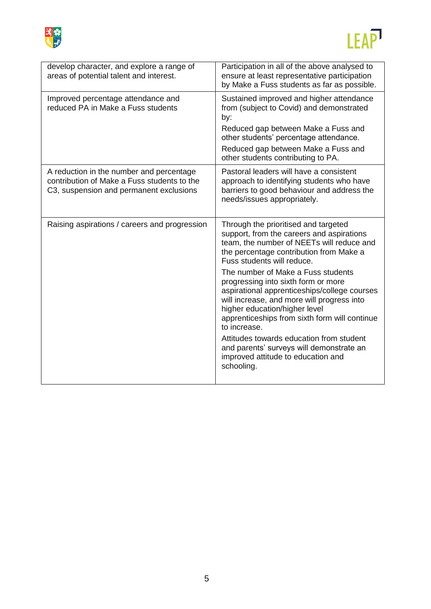



| develop character, and explore a range of<br>areas of potential talent and interest.                                               | Participation in all of the above analysed to<br>ensure at least representative participation<br>by Make a Fuss students as far as possible.                                                                                                                              |
|------------------------------------------------------------------------------------------------------------------------------------|---------------------------------------------------------------------------------------------------------------------------------------------------------------------------------------------------------------------------------------------------------------------------|
| Improved percentage attendance and<br>reduced PA in Make a Fuss students                                                           | Sustained improved and higher attendance<br>from (subject to Covid) and demonstrated<br>by:                                                                                                                                                                               |
|                                                                                                                                    | Reduced gap between Make a Fuss and<br>other students' percentage attendance.                                                                                                                                                                                             |
|                                                                                                                                    | Reduced gap between Make a Fuss and<br>other students contributing to PA.                                                                                                                                                                                                 |
| A reduction in the number and percentage<br>contribution of Make a Fuss students to the<br>C3, suspension and permanent exclusions | Pastoral leaders will have a consistent<br>approach to identifying students who have<br>barriers to good behaviour and address the<br>needs/issues appropriately.                                                                                                         |
| Raising aspirations / careers and progression                                                                                      | Through the prioritised and targeted<br>support, from the careers and aspirations<br>team, the number of NEETs will reduce and<br>the percentage contribution from Make a<br>Fuss students will reduce.                                                                   |
|                                                                                                                                    | The number of Make a Fuss students<br>progressing into sixth form or more<br>aspirational apprenticeships/college courses<br>will increase, and more will progress into<br>higher education/higher level<br>apprenticeships from sixth form will continue<br>to increase. |
|                                                                                                                                    | Attitudes towards education from student<br>and parents' surveys will demonstrate an<br>improved attitude to education and<br>schooling.                                                                                                                                  |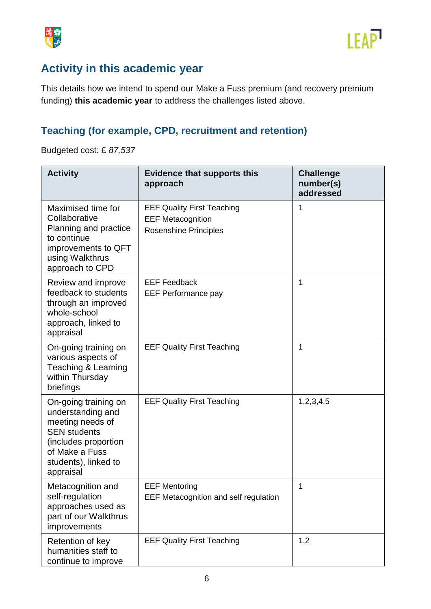



## **Activity in this academic year**

This details how we intend to spend our Make a Fuss premium (and recovery premium funding) **this academic year** to address the challenges listed above.

### **Teaching (for example, CPD, recruitment and retention)**

Budgeted cost: £ *87,537*

| <b>Activity</b>                                                                                                                                                     | <b>Evidence that supports this</b><br>approach                                                | <b>Challenge</b><br>number(s)<br>addressed |
|---------------------------------------------------------------------------------------------------------------------------------------------------------------------|-----------------------------------------------------------------------------------------------|--------------------------------------------|
| Maximised time for<br>Collaborative<br>Planning and practice<br>to continue<br>improvements to QFT<br>using Walkthrus<br>approach to CPD                            | <b>EEF Quality First Teaching</b><br><b>EEF Metacognition</b><br><b>Rosenshine Principles</b> | 1                                          |
| Review and improve<br>feedback to students<br>through an improved<br>whole-school<br>approach, linked to<br>appraisal                                               | <b>EEF Feedback</b><br><b>EEF Performance pay</b>                                             | 1                                          |
| On-going training on<br>various aspects of<br>Teaching & Learning<br>within Thursday<br>briefings                                                                   | <b>EEF Quality First Teaching</b>                                                             | 1                                          |
| On-going training on<br>understanding and<br>meeting needs of<br><b>SEN students</b><br>(includes proportion<br>of Make a Fuss<br>students), linked to<br>appraisal | <b>EEF Quality First Teaching</b>                                                             | 1,2,3,4,5                                  |
| Metacognition and<br>self-regulation<br>approaches used as<br>part of our Walkthrus<br>improvements                                                                 | <b>EEF Mentoring</b><br>EEF Metacognition and self regulation                                 | 1                                          |
| Retention of key<br>humanities staff to<br>continue to improve                                                                                                      | <b>EEF Quality First Teaching</b>                                                             | 1,2                                        |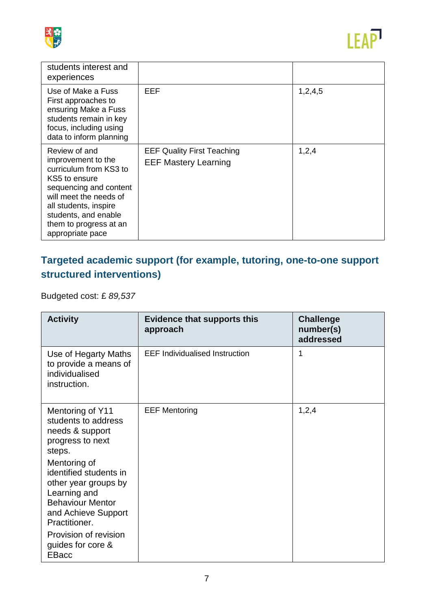



| students interest and<br>experiences                                                                                                                                                                                              |                                                                  |         |
|-----------------------------------------------------------------------------------------------------------------------------------------------------------------------------------------------------------------------------------|------------------------------------------------------------------|---------|
| Use of Make a Fuss<br>First approaches to<br>ensuring Make a Fuss<br>students remain in key<br>focus, including using<br>data to inform planning                                                                                  | EEF                                                              | 1,2,4,5 |
| Review of and<br>improvement to the<br>curriculum from KS3 to<br>KS5 to ensure<br>sequencing and content<br>will meet the needs of<br>all students, inspire<br>students, and enable<br>them to progress at an<br>appropriate pace | <b>EEF Quality First Teaching</b><br><b>EEF Mastery Learning</b> | 1,2,4   |

## **Targeted academic support (for example, tutoring, one-to-one support structured interventions)**

Budgeted cost: £ *89,537*

| <b>Activity</b>                                                                                                                                   | <b>Evidence that supports this</b><br>approach | <b>Challenge</b><br>number(s)<br>addressed |
|---------------------------------------------------------------------------------------------------------------------------------------------------|------------------------------------------------|--------------------------------------------|
| Use of Hegarty Maths<br>to provide a means of<br>individualised<br>instruction.                                                                   | <b>EEF Individualised Instruction</b>          | 1                                          |
| Mentoring of Y11<br>students to address<br>needs & support<br>progress to next<br>steps.                                                          | <b>EEF Mentoring</b>                           | 1,2,4                                      |
| Mentoring of<br>identified students in<br>other year groups by<br>Learning and<br><b>Behaviour Mentor</b><br>and Achieve Support<br>Practitioner. |                                                |                                            |
| Provision of revision<br>guides for core &<br><b>EBacc</b>                                                                                        |                                                |                                            |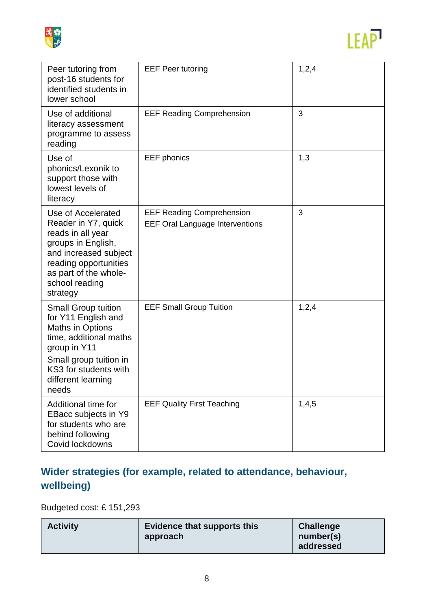



| Peer tutoring from<br>post-16 students for<br>identified students in<br>lower school                                                                                                                     | <b>EEF Peer tutoring</b>                                                   | 1,2,4 |
|----------------------------------------------------------------------------------------------------------------------------------------------------------------------------------------------------------|----------------------------------------------------------------------------|-------|
| Use of additional<br>literacy assessment<br>programme to assess<br>reading                                                                                                                               | <b>EEF Reading Comprehension</b>                                           | 3     |
| Use of<br>phonics/Lexonik to<br>support those with<br>lowest levels of<br>literacy                                                                                                                       | <b>EEF</b> phonics                                                         | 1,3   |
| Use of Accelerated<br>Reader in Y7, quick<br>reads in all year<br>groups in English,<br>and increased subject<br>reading opportunities<br>as part of the whole-<br>school reading<br>strategy            | <b>EEF Reading Comprehension</b><br><b>EEF Oral Language Interventions</b> | 3     |
| <b>Small Group tuition</b><br>for Y11 English and<br><b>Maths in Options</b><br>time, additional maths<br>group in Y11<br>Small group tuition in<br>KS3 for students with<br>different learning<br>needs | <b>EEF Small Group Tuition</b>                                             | 1,2,4 |
| Additional time for<br>EBacc subjects in Y9<br>for students who are<br>behind following<br>Covid lockdowns                                                                                               | <b>EEF Quality First Teaching</b>                                          | 1,4,5 |

## **Wider strategies (for example, related to attendance, behaviour, wellbeing)**

Budgeted cost: £ 151,293

| Evidence that supports this | <b>Challenge</b> |
|-----------------------------|------------------|
| <b>Activity</b>             | number(s)        |
| approach                    | addressed        |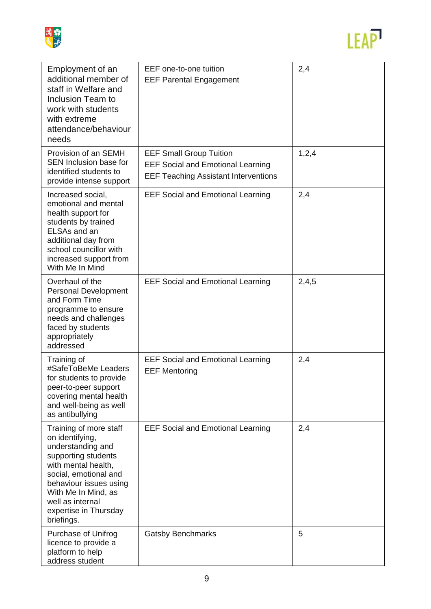



| Employment of an<br>additional member of<br>staff in Welfare and<br>Inclusion Team to<br>work with students<br>with extreme<br>attendance/behaviour<br>needs                                                                                      | EEF one-to-one tuition<br><b>EEF Parental Engagement</b>                                                                  | 2,4   |
|---------------------------------------------------------------------------------------------------------------------------------------------------------------------------------------------------------------------------------------------------|---------------------------------------------------------------------------------------------------------------------------|-------|
| Provision of an SEMH<br>SEN Inclusion base for<br>identified students to<br>provide intense support                                                                                                                                               | <b>EEF Small Group Tuition</b><br><b>EEF Social and Emotional Learning</b><br><b>EEF Teaching Assistant Interventions</b> | 1,2,4 |
| Increased social,<br>emotional and mental<br>health support for<br>students by trained<br>ELSAs and an<br>additional day from<br>school councillor with<br>increased support from<br>With Me In Mind                                              | <b>EEF Social and Emotional Learning</b>                                                                                  | 2,4   |
| Overhaul of the<br><b>Personal Development</b><br>and Form Time<br>programme to ensure<br>needs and challenges<br>faced by students<br>appropriately<br>addressed                                                                                 | <b>EEF Social and Emotional Learning</b>                                                                                  | 2,4,5 |
| Training of<br>#SafeToBeMe Leaders<br>for students to provide<br>peer-to-peer support<br>covering mental health<br>and well-being as well<br>as antibullying                                                                                      | <b>EEF Social and Emotional Learning</b><br><b>EEF Mentoring</b>                                                          | 2,4   |
| Training of more staff<br>on identifying,<br>understanding and<br>supporting students<br>with mental health,<br>social, emotional and<br>behaviour issues using<br>With Me In Mind, as<br>well as internal<br>expertise in Thursday<br>briefings. | <b>EEF Social and Emotional Learning</b>                                                                                  | 2,4   |
| Purchase of Unifrog<br>licence to provide a<br>platform to help<br>address student                                                                                                                                                                | <b>Gatsby Benchmarks</b>                                                                                                  | 5     |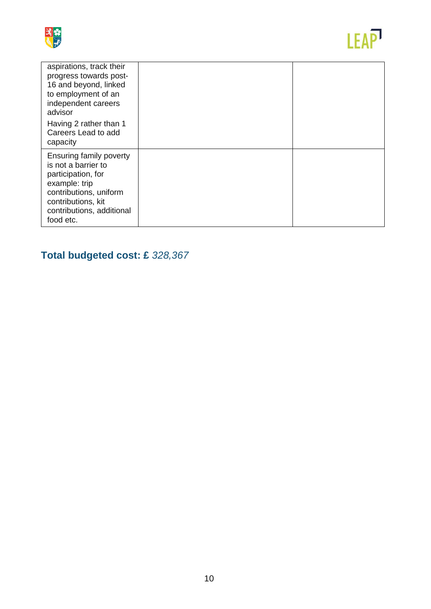



| aspirations, track their<br>progress towards post-<br>16 and beyond, linked<br>to employment of an<br>independent careers<br>advisor<br>Having 2 rather than 1<br>Careers Lead to add<br>capacity |  |
|---------------------------------------------------------------------------------------------------------------------------------------------------------------------------------------------------|--|
| <b>Ensuring family poverty</b><br>is not a barrier to<br>participation, for<br>example: trip<br>contributions, uniform<br>contributions, kit<br>contributions, additional<br>food etc.            |  |

# **Total budgeted cost: £** *328,367*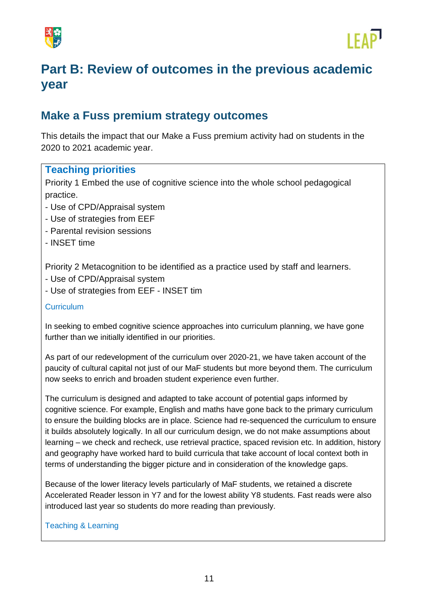



# **Part B: Review of outcomes in the previous academic year**

### **Make a Fuss premium strategy outcomes**

This details the impact that our Make a Fuss premium activity had on students in the 2020 to 2021 academic year.

### **Teaching priorities**

Priority 1 Embed the use of cognitive science into the whole school pedagogical practice.

- Use of CPD/Appraisal system
- Use of strategies from EEF
- Parental revision sessions
- INSET time

Priority 2 Metacognition to be identified as a practice used by staff and learners.

- Use of CPD/Appraisal system
- Use of strategies from EEF INSET tim

### **Curriculum**

In seeking to embed cognitive science approaches into curriculum planning, we have gone further than we initially identified in our priorities.

As part of our redevelopment of the curriculum over 2020-21, we have taken account of the paucity of cultural capital not just of our MaF students but more beyond them. The curriculum now seeks to enrich and broaden student experience even further.

The curriculum is designed and adapted to take account of potential gaps informed by cognitive science. For example, English and maths have gone back to the primary curriculum to ensure the building blocks are in place. Science had re-sequenced the curriculum to ensure it builds absolutely logically. In all our curriculum design, we do not make assumptions about learning – we check and recheck, use retrieval practice, spaced revision etc. In addition, history and geography have worked hard to build curricula that take account of local context both in terms of understanding the bigger picture and in consideration of the knowledge gaps.

Because of the lower literacy levels particularly of MaF students, we retained a discrete Accelerated Reader lesson in Y7 and for the lowest ability Y8 students. Fast reads were also introduced last year so students do more reading than previously.

### Teaching & Learning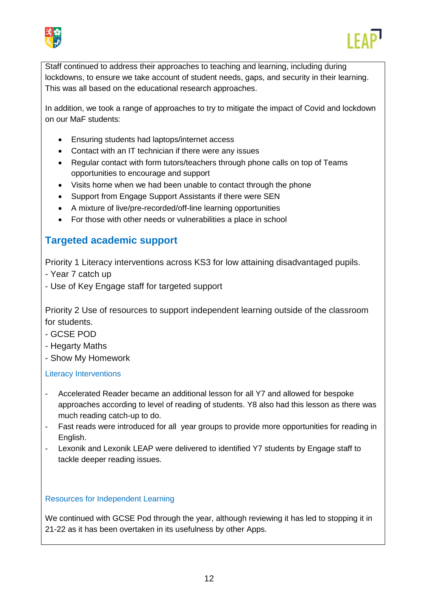



Staff continued to address their approaches to teaching and learning, including during lockdowns, to ensure we take account of student needs, gaps, and security in their learning. This was all based on the educational research approaches.

In addition, we took a range of approaches to try to mitigate the impact of Covid and lockdown on our MaF students:

- Ensuring students had laptops/internet access
- Contact with an IT technician if there were any issues
- Regular contact with form tutors/teachers through phone calls on top of Teams opportunities to encourage and support
- Visits home when we had been unable to contact through the phone
- Support from Engage Support Assistants if there were SEN
- A mixture of live/pre-recorded/off-line learning opportunities
- For those with other needs or vulnerabilities a place in school

### **Targeted academic support**

Priority 1 Literacy interventions across KS3 for low attaining disadvantaged pupils.

- Year 7 catch up
- Use of Key Engage staff for targeted support

Priority 2 Use of resources to support independent learning outside of the classroom for students.

- GCSE POD
- Hegarty Maths
- Show My Homework

### Literacy Interventions

- Accelerated Reader became an additional lesson for all Y7 and allowed for bespoke approaches according to level of reading of students. Y8 also had this lesson as there was much reading catch-up to do.
- Fast reads were introduced for all year groups to provide more opportunities for reading in English.
- Lexonik and Lexonik LEAP were delivered to identified Y7 students by Engage staff to tackle deeper reading issues.

### Resources for Independent Learning

We continued with GCSE Pod through the year, although reviewing it has led to stopping it in 21-22 as it has been overtaken in its usefulness by other Apps.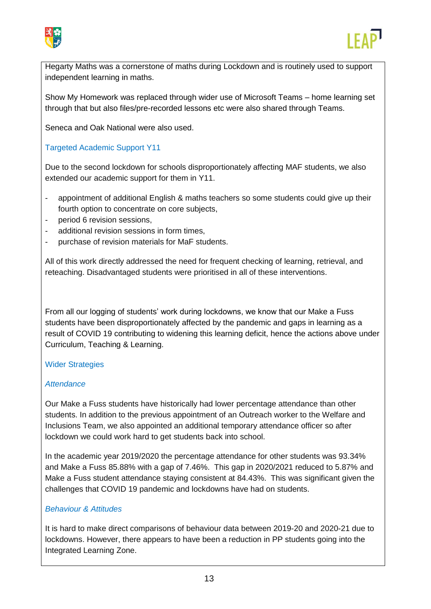



Hegarty Maths was a cornerstone of maths during Lockdown and is routinely used to support independent learning in maths.

Show My Homework was replaced through wider use of Microsoft Teams – home learning set through that but also files/pre-recorded lessons etc were also shared through Teams.

Seneca and Oak National were also used.

### Targeted Academic Support Y11

Due to the second lockdown for schools disproportionately affecting MAF students, we also extended our academic support for them in Y11.

- appointment of additional English & maths teachers so some students could give up their fourth option to concentrate on core subjects,
- period 6 revision sessions.
- additional revision sessions in form times.
- purchase of revision materials for MaF students.

All of this work directly addressed the need for frequent checking of learning, retrieval, and reteaching. Disadvantaged students were prioritised in all of these interventions.

From all our logging of students' work during lockdowns, we know that our Make a Fuss students have been disproportionately affected by the pandemic and gaps in learning as a result of COVID 19 contributing to widening this learning deficit, hence the actions above under Curriculum, Teaching & Learning.

### Wider Strategies

#### *Attendance*

Our Make a Fuss students have historically had lower percentage attendance than other students. In addition to the previous appointment of an Outreach worker to the Welfare and Inclusions Team, we also appointed an additional temporary attendance officer so after lockdown we could work hard to get students back into school.

In the academic year 2019/2020 the percentage attendance for other students was 93.34% and Make a Fuss 85.88% with a gap of 7.46%. This gap in 2020/2021 reduced to 5.87% and Make a Fuss student attendance staying consistent at 84.43%. This was significant given the challenges that COVID 19 pandemic and lockdowns have had on students.

### *Behaviour & Attitudes*

It is hard to make direct comparisons of behaviour data between 2019-20 and 2020-21 due to lockdowns. However, there appears to have been a reduction in PP students going into the Integrated Learning Zone.